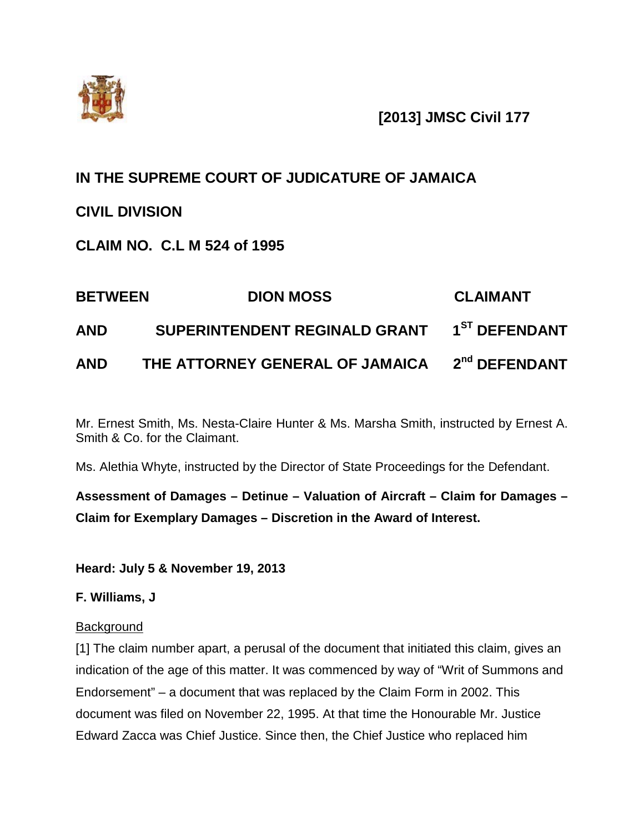

**[2013] JMSC Civil 177**

# **IN THE SUPREME COURT OF JUDICATURE OF JAMAICA**

# **CIVIL DIVISION**

**CLAIM NO. C.L M 524 of 1995**

| <b>BETWEEN</b> | <b>DION MOSS</b>                                          | <b>CLAIMANT</b> |
|----------------|-----------------------------------------------------------|-----------------|
| <b>AND</b>     | SUPERINTENDENT REGINALD GRANT 1ST DEFENDANT               |                 |
| <b>AND</b>     | THE ATTORNEY GENERAL OF JAMAICA 2 <sup>nd</sup> DEFENDANT |                 |

Mr. Ernest Smith, Ms. Nesta-Claire Hunter & Ms. Marsha Smith, instructed by Ernest A. Smith & Co. for the Claimant.

Ms. Alethia Whyte, instructed by the Director of State Proceedings for the Defendant.

**Assessment of Damages – Detinue – Valuation of Aircraft – Claim for Damages – Claim for Exemplary Damages – Discretion in the Award of Interest.**

**Heard: July 5 & November 19, 2013**

**F. Williams, J**

# **Background**

[1] The claim number apart, a perusal of the document that initiated this claim, gives an indication of the age of this matter. It was commenced by way of "Writ of Summons and Endorsement" – a document that was replaced by the Claim Form in 2002. This document was filed on November 22, 1995. At that time the Honourable Mr. Justice Edward Zacca was Chief Justice. Since then, the Chief Justice who replaced him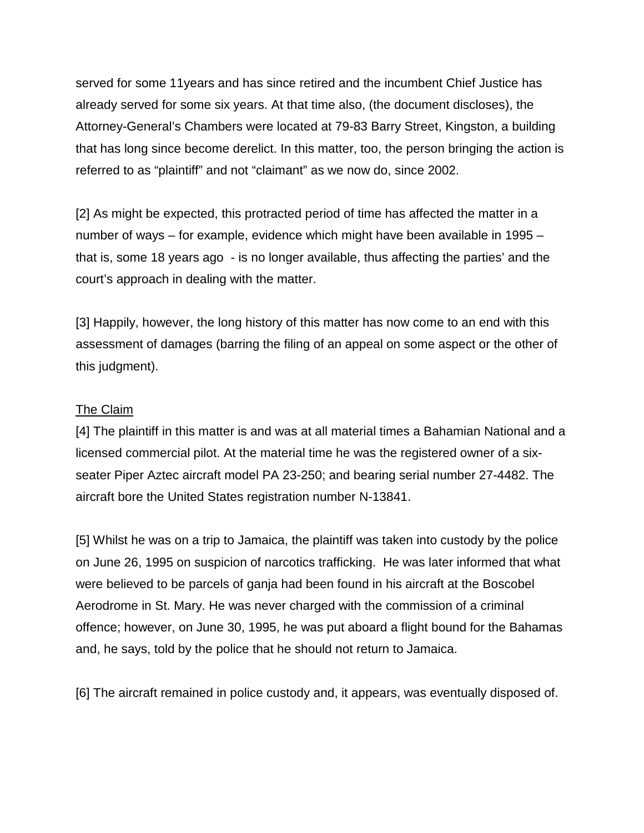served for some 11years and has since retired and the incumbent Chief Justice has already served for some six years. At that time also, (the document discloses), the Attorney-General's Chambers were located at 79-83 Barry Street, Kingston, a building that has long since become derelict. In this matter, too, the person bringing the action is referred to as "plaintiff" and not "claimant" as we now do, since 2002.

[2] As might be expected, this protracted period of time has affected the matter in a number of ways – for example, evidence which might have been available in 1995 – that is, some 18 years ago - is no longer available, thus affecting the parties' and the court's approach in dealing with the matter.

[3] Happily, however, the long history of this matter has now come to an end with this assessment of damages (barring the filing of an appeal on some aspect or the other of this judgment).

#### The Claim

[4] The plaintiff in this matter is and was at all material times a Bahamian National and a licensed commercial pilot. At the material time he was the registered owner of a sixseater Piper Aztec aircraft model PA 23-250; and bearing serial number 27-4482. The aircraft bore the United States registration number N-13841.

[5] Whilst he was on a trip to Jamaica, the plaintiff was taken into custody by the police on June 26, 1995 on suspicion of narcotics trafficking. He was later informed that what were believed to be parcels of ganja had been found in his aircraft at the Boscobel Aerodrome in St. Mary. He was never charged with the commission of a criminal offence; however, on June 30, 1995, he was put aboard a flight bound for the Bahamas and, he says, told by the police that he should not return to Jamaica.

[6] The aircraft remained in police custody and, it appears, was eventually disposed of.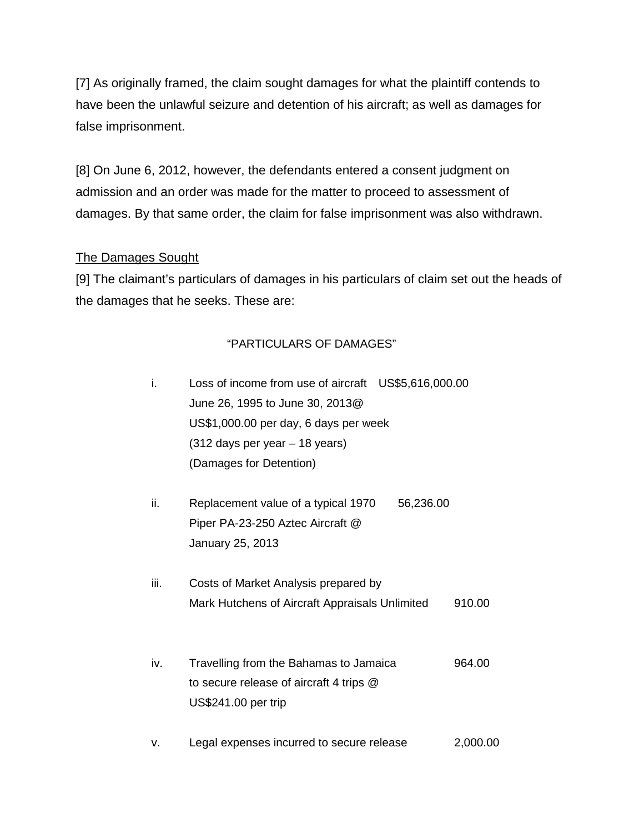[7] As originally framed, the claim sought damages for what the plaintiff contends to have been the unlawful seizure and detention of his aircraft; as well as damages for false imprisonment.

[8] On June 6, 2012, however, the defendants entered a consent judgment on admission and an order was made for the matter to proceed to assessment of damages. By that same order, the claim for false imprisonment was also withdrawn.

## The Damages Sought

[9] The claimant's particulars of damages in his particulars of claim set out the heads of the damages that he seeks. These are:

### "PARTICULARS OF DAMAGES"

- i. Loss of income from use of aircraft US\$5,616,000.00 June 26, 1995 to June 30, 2013@ US\$1,000.00 per day, 6 days per week (312 days per year – 18 years) (Damages for Detention)
- ii. Replacement value of a typical 1970 56,236.00 Piper PA-23-250 Aztec Aircraft @ January 25, 2013
- iii. Costs of Market Analysis prepared by Mark Hutchens of Aircraft Appraisals Unlimited 910.00
- iv. Travelling from the Bahamas to Jamaica 964.00 to secure release of aircraft 4 trips @ US\$241.00 per trip
- v. Legal expenses incurred to secure release 2,000.00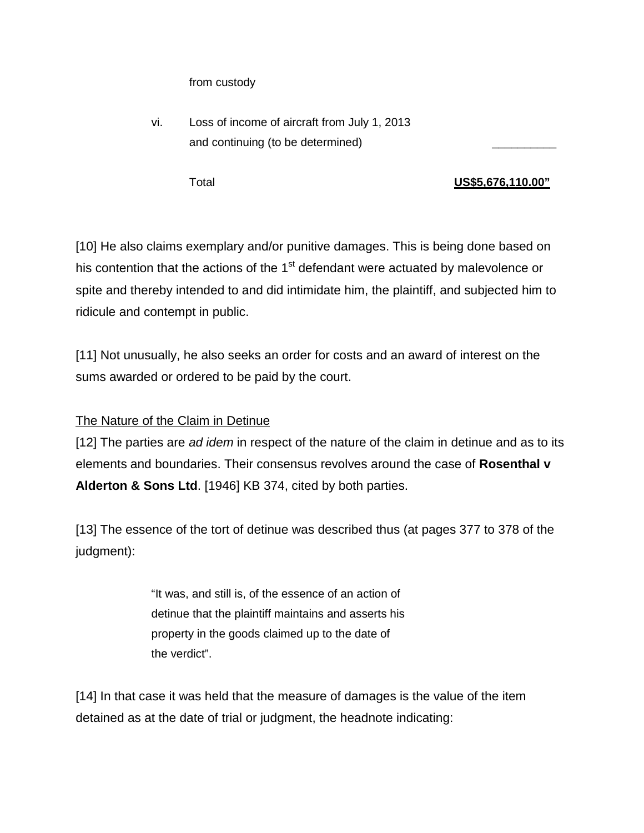from custody

vi. Loss of income of aircraft from July 1, 2013 and continuing (to be determined)

## Total **US\$5,676,110.00"**

[10] He also claims exemplary and/or punitive damages. This is being done based on his contention that the actions of the  $1<sup>st</sup>$  defendant were actuated by malevolence or spite and thereby intended to and did intimidate him, the plaintiff, and subjected him to ridicule and contempt in public.

[11] Not unusually, he also seeks an order for costs and an award of interest on the sums awarded or ordered to be paid by the court.

# The Nature of the Claim in Detinue

[12] The parties are *ad idem* in respect of the nature of the claim in detinue and as to its elements and boundaries. Their consensus revolves around the case of **Rosenthal v Alderton & Sons Ltd**. [1946] KB 374, cited by both parties.

[13] The essence of the tort of detinue was described thus (at pages 377 to 378 of the judgment):

> "It was, and still is, of the essence of an action of detinue that the plaintiff maintains and asserts his property in the goods claimed up to the date of the verdict".

[14] In that case it was held that the measure of damages is the value of the item detained as at the date of trial or judgment, the headnote indicating: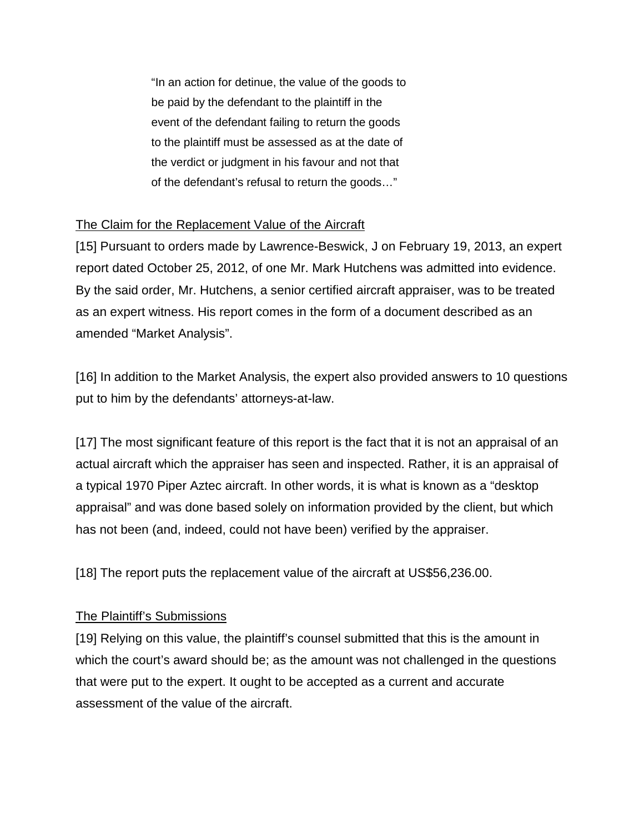"In an action for detinue, the value of the goods to be paid by the defendant to the plaintiff in the event of the defendant failing to return the goods to the plaintiff must be assessed as at the date of the verdict or judgment in his favour and not that of the defendant's refusal to return the goods…"

# The Claim for the Replacement Value of the Aircraft

[15] Pursuant to orders made by Lawrence-Beswick, J on February 19, 2013, an expert report dated October 25, 2012, of one Mr. Mark Hutchens was admitted into evidence. By the said order, Mr. Hutchens, a senior certified aircraft appraiser, was to be treated as an expert witness. His report comes in the form of a document described as an amended "Market Analysis".

[16] In addition to the Market Analysis, the expert also provided answers to 10 questions put to him by the defendants' attorneys-at-law.

[17] The most significant feature of this report is the fact that it is not an appraisal of an actual aircraft which the appraiser has seen and inspected. Rather, it is an appraisal of a typical 1970 Piper Aztec aircraft. In other words, it is what is known as a "desktop appraisal" and was done based solely on information provided by the client, but which has not been (and, indeed, could not have been) verified by the appraiser.

[18] The report puts the replacement value of the aircraft at US\$56,236.00.

# The Plaintiff's Submissions

[19] Relying on this value, the plaintiff's counsel submitted that this is the amount in which the court's award should be; as the amount was not challenged in the questions that were put to the expert. It ought to be accepted as a current and accurate assessment of the value of the aircraft.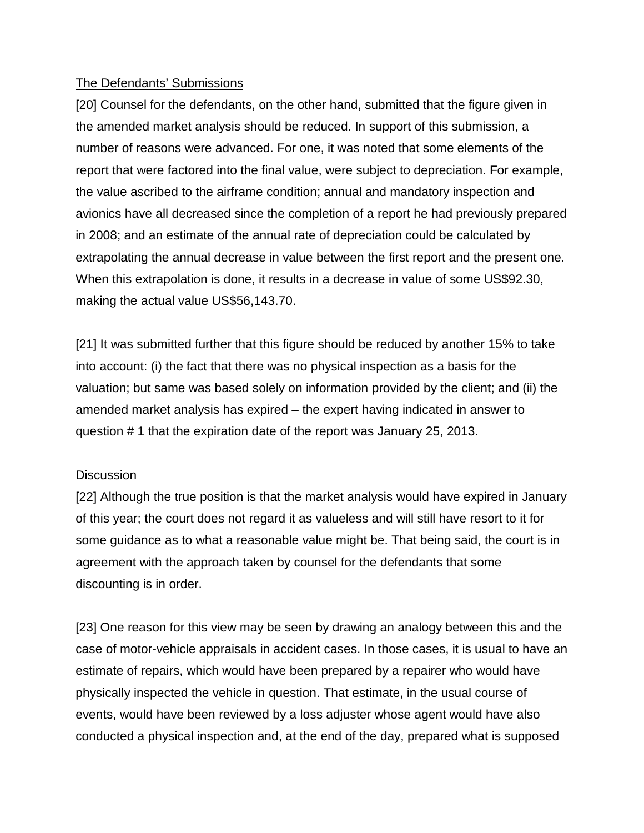## The Defendants' Submissions

[20] Counsel for the defendants, on the other hand, submitted that the figure given in the amended market analysis should be reduced. In support of this submission, a number of reasons were advanced. For one, it was noted that some elements of the report that were factored into the final value, were subject to depreciation. For example, the value ascribed to the airframe condition; annual and mandatory inspection and avionics have all decreased since the completion of a report he had previously prepared in 2008; and an estimate of the annual rate of depreciation could be calculated by extrapolating the annual decrease in value between the first report and the present one. When this extrapolation is done, it results in a decrease in value of some US\$92.30, making the actual value US\$56,143.70.

[21] It was submitted further that this figure should be reduced by another 15% to take into account: (i) the fact that there was no physical inspection as a basis for the valuation; but same was based solely on information provided by the client; and (ii) the amended market analysis has expired – the expert having indicated in answer to question # 1 that the expiration date of the report was January 25, 2013.

### **Discussion**

[22] Although the true position is that the market analysis would have expired in January of this year; the court does not regard it as valueless and will still have resort to it for some guidance as to what a reasonable value might be. That being said, the court is in agreement with the approach taken by counsel for the defendants that some discounting is in order.

[23] One reason for this view may be seen by drawing an analogy between this and the case of motor-vehicle appraisals in accident cases. In those cases, it is usual to have an estimate of repairs, which would have been prepared by a repairer who would have physically inspected the vehicle in question. That estimate, in the usual course of events, would have been reviewed by a loss adjuster whose agent would have also conducted a physical inspection and, at the end of the day, prepared what is supposed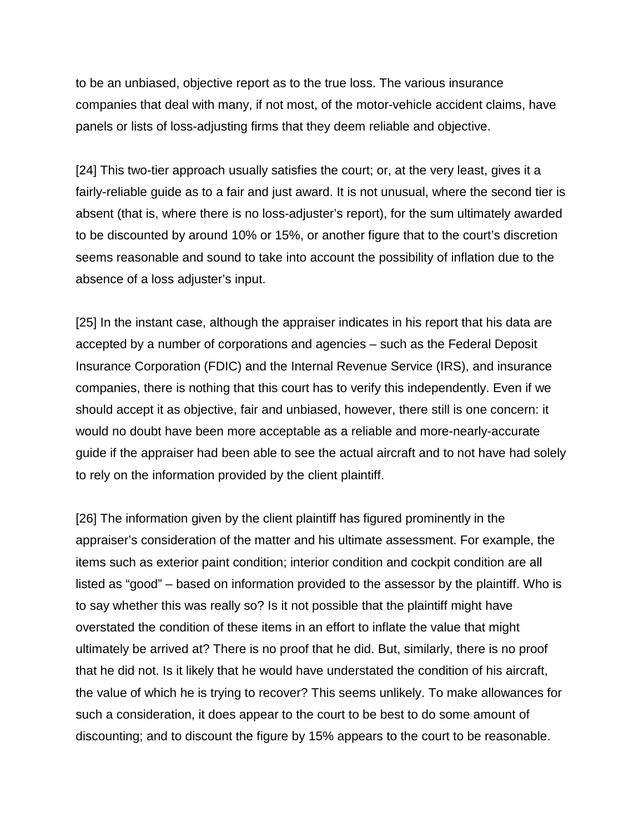to be an unbiased, objective report as to the true loss. The various insurance companies that deal with many, if not most, of the motor-vehicle accident claims, have panels or lists of loss-adjusting firms that they deem reliable and objective.

[24] This two-tier approach usually satisfies the court; or, at the very least, gives it a fairly-reliable guide as to a fair and just award. It is not unusual, where the second tier is absent (that is, where there is no loss-adjuster's report), for the sum ultimately awarded to be discounted by around 10% or 15%, or another figure that to the court's discretion seems reasonable and sound to take into account the possibility of inflation due to the absence of a loss adjuster's input.

[25] In the instant case, although the appraiser indicates in his report that his data are accepted by a number of corporations and agencies – such as the Federal Deposit Insurance Corporation (FDIC) and the Internal Revenue Service (IRS), and insurance companies, there is nothing that this court has to verify this independently. Even if we should accept it as objective, fair and unbiased, however, there still is one concern: it would no doubt have been more acceptable as a reliable and more-nearly-accurate guide if the appraiser had been able to see the actual aircraft and to not have had solely to rely on the information provided by the client plaintiff.

[26] The information given by the client plaintiff has figured prominently in the appraiser's consideration of the matter and his ultimate assessment. For example, the items such as exterior paint condition; interior condition and cockpit condition are all listed as "good" – based on information provided to the assessor by the plaintiff. Who is to say whether this was really so? Is it not possible that the plaintiff might have overstated the condition of these items in an effort to inflate the value that might ultimately be arrived at? There is no proof that he did. But, similarly, there is no proof that he did not. Is it likely that he would have understated the condition of his aircraft, the value of which he is trying to recover? This seems unlikely. To make allowances for such a consideration, it does appear to the court to be best to do some amount of discounting; and to discount the figure by 15% appears to the court to be reasonable.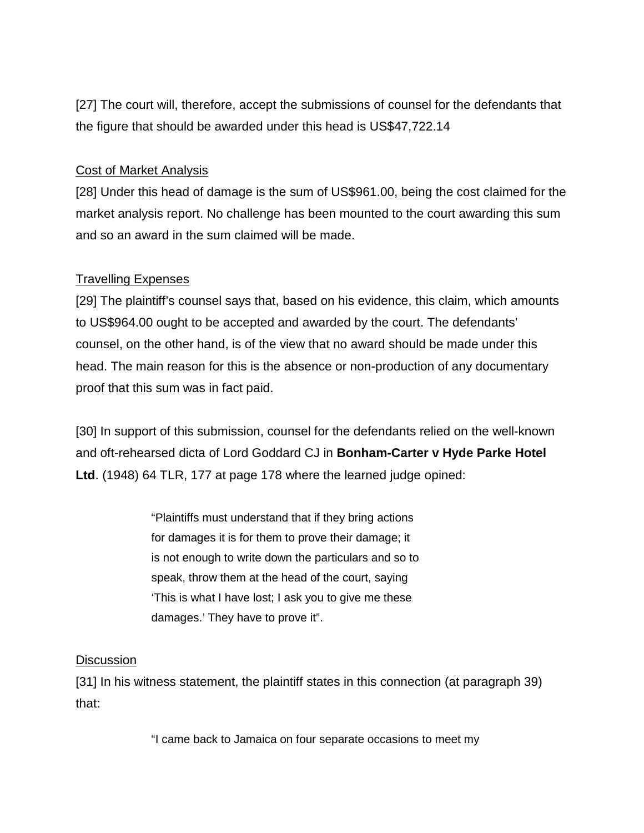[27] The court will, therefore, accept the submissions of counsel for the defendants that the figure that should be awarded under this head is US\$47,722.14

### Cost of Market Analysis

[28] Under this head of damage is the sum of US\$961.00, being the cost claimed for the market analysis report. No challenge has been mounted to the court awarding this sum and so an award in the sum claimed will be made.

## Travelling Expenses

[29] The plaintiff's counsel says that, based on his evidence, this claim, which amounts to US\$964.00 ought to be accepted and awarded by the court. The defendants' counsel, on the other hand, is of the view that no award should be made under this head. The main reason for this is the absence or non-production of any documentary proof that this sum was in fact paid.

[30] In support of this submission, counsel for the defendants relied on the well-known and oft-rehearsed dicta of Lord Goddard CJ in **Bonham-Carter v Hyde Parke Hotel Ltd**. (1948) 64 TLR, 177 at page 178 where the learned judge opined:

> "Plaintiffs must understand that if they bring actions for damages it is for them to prove their damage; it is not enough to write down the particulars and so to speak, throw them at the head of the court, saying 'This is what I have lost; I ask you to give me these damages.' They have to prove it".

### **Discussion**

[31] In his witness statement, the plaintiff states in this connection (at paragraph 39) that:

"I came back to Jamaica on four separate occasions to meet my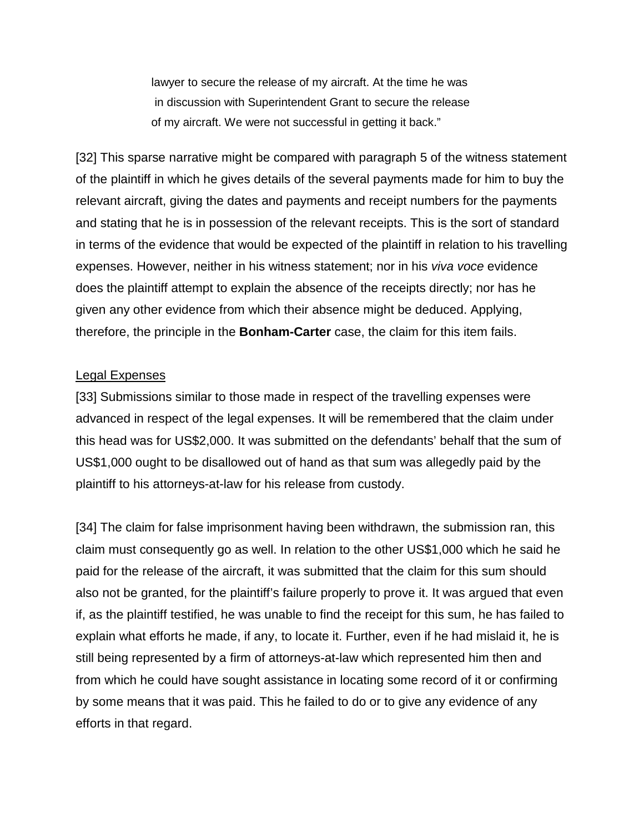lawyer to secure the release of my aircraft. At the time he was in discussion with Superintendent Grant to secure the release of my aircraft. We were not successful in getting it back."

[32] This sparse narrative might be compared with paragraph 5 of the witness statement of the plaintiff in which he gives details of the several payments made for him to buy the relevant aircraft, giving the dates and payments and receipt numbers for the payments and stating that he is in possession of the relevant receipts. This is the sort of standard in terms of the evidence that would be expected of the plaintiff in relation to his travelling expenses. However, neither in his witness statement; nor in his *viva voce* evidence does the plaintiff attempt to explain the absence of the receipts directly; nor has he given any other evidence from which their absence might be deduced. Applying, therefore, the principle in the **Bonham-Carter** case, the claim for this item fails.

#### Legal Expenses

[33] Submissions similar to those made in respect of the travelling expenses were advanced in respect of the legal expenses. It will be remembered that the claim under this head was for US\$2,000. It was submitted on the defendants' behalf that the sum of US\$1,000 ought to be disallowed out of hand as that sum was allegedly paid by the plaintiff to his attorneys-at-law for his release from custody.

[34] The claim for false imprisonment having been withdrawn, the submission ran, this claim must consequently go as well. In relation to the other US\$1,000 which he said he paid for the release of the aircraft, it was submitted that the claim for this sum should also not be granted, for the plaintiff's failure properly to prove it. It was argued that even if, as the plaintiff testified, he was unable to find the receipt for this sum, he has failed to explain what efforts he made, if any, to locate it. Further, even if he had mislaid it, he is still being represented by a firm of attorneys-at-law which represented him then and from which he could have sought assistance in locating some record of it or confirming by some means that it was paid. This he failed to do or to give any evidence of any efforts in that regard.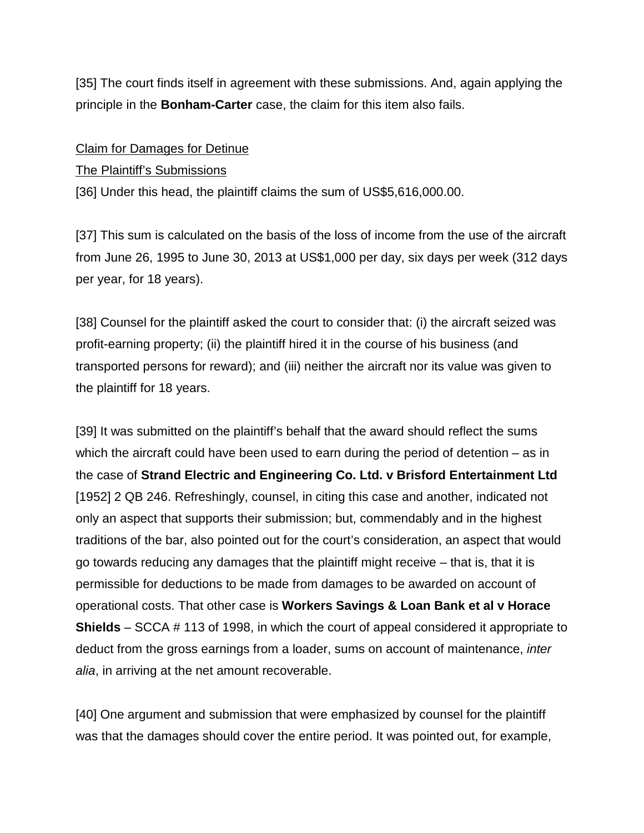[35] The court finds itself in agreement with these submissions. And, again applying the principle in the **Bonham-Carter** case, the claim for this item also fails.

### Claim for Damages for Detinue

## The Plaintiff's Submissions

[36] Under this head, the plaintiff claims the sum of US\$5,616,000.00.

[37] This sum is calculated on the basis of the loss of income from the use of the aircraft from June 26, 1995 to June 30, 2013 at US\$1,000 per day, six days per week (312 days per year, for 18 years).

[38] Counsel for the plaintiff asked the court to consider that: (i) the aircraft seized was profit-earning property; (ii) the plaintiff hired it in the course of his business (and transported persons for reward); and (iii) neither the aircraft nor its value was given to the plaintiff for 18 years.

[39] It was submitted on the plaintiff's behalf that the award should reflect the sums which the aircraft could have been used to earn during the period of detention – as in the case of **Strand Electric and Engineering Co. Ltd. v Brisford Entertainment Ltd** [1952] 2 QB 246. Refreshingly, counsel, in citing this case and another, indicated not only an aspect that supports their submission; but, commendably and in the highest traditions of the bar, also pointed out for the court's consideration, an aspect that would go towards reducing any damages that the plaintiff might receive – that is, that it is permissible for deductions to be made from damages to be awarded on account of operational costs. That other case is **Workers Savings & Loan Bank et al v Horace Shields** – SCCA # 113 of 1998, in which the court of appeal considered it appropriate to deduct from the gross earnings from a loader, sums on account of maintenance, *inter alia*, in arriving at the net amount recoverable.

[40] One argument and submission that were emphasized by counsel for the plaintiff was that the damages should cover the entire period. It was pointed out, for example,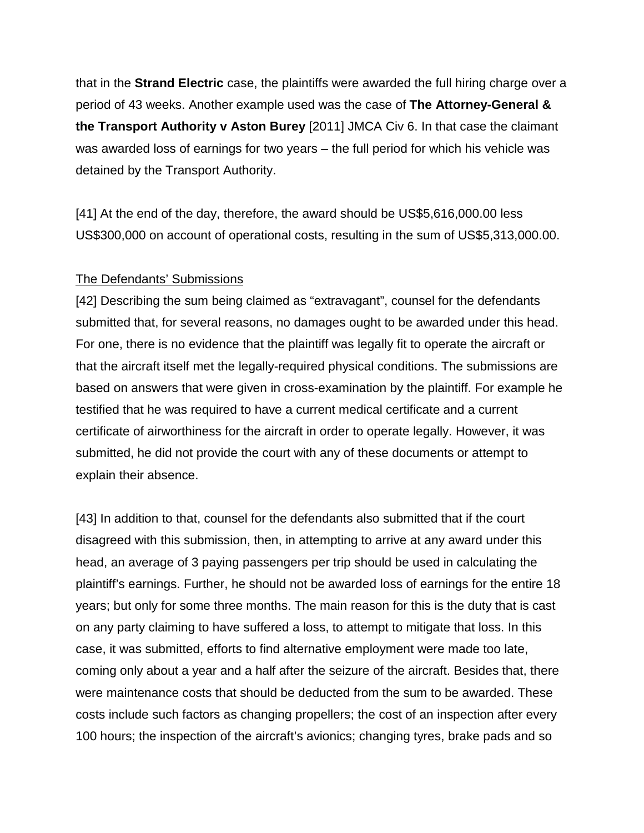that in the **Strand Electric** case, the plaintiffs were awarded the full hiring charge over a period of 43 weeks. Another example used was the case of **The Attorney-General & the Transport Authority v Aston Burey** [2011] JMCA Civ 6. In that case the claimant was awarded loss of earnings for two years – the full period for which his vehicle was detained by the Transport Authority.

[41] At the end of the day, therefore, the award should be US\$5,616,000.00 less US\$300,000 on account of operational costs, resulting in the sum of US\$5,313,000.00.

#### The Defendants' Submissions

[42] Describing the sum being claimed as "extravagant", counsel for the defendants submitted that, for several reasons, no damages ought to be awarded under this head. For one, there is no evidence that the plaintiff was legally fit to operate the aircraft or that the aircraft itself met the legally-required physical conditions. The submissions are based on answers that were given in cross-examination by the plaintiff. For example he testified that he was required to have a current medical certificate and a current certificate of airworthiness for the aircraft in order to operate legally. However, it was submitted, he did not provide the court with any of these documents or attempt to explain their absence.

[43] In addition to that, counsel for the defendants also submitted that if the court disagreed with this submission, then, in attempting to arrive at any award under this head, an average of 3 paying passengers per trip should be used in calculating the plaintiff's earnings. Further, he should not be awarded loss of earnings for the entire 18 years; but only for some three months. The main reason for this is the duty that is cast on any party claiming to have suffered a loss, to attempt to mitigate that loss. In this case, it was submitted, efforts to find alternative employment were made too late, coming only about a year and a half after the seizure of the aircraft. Besides that, there were maintenance costs that should be deducted from the sum to be awarded. These costs include such factors as changing propellers; the cost of an inspection after every 100 hours; the inspection of the aircraft's avionics; changing tyres, brake pads and so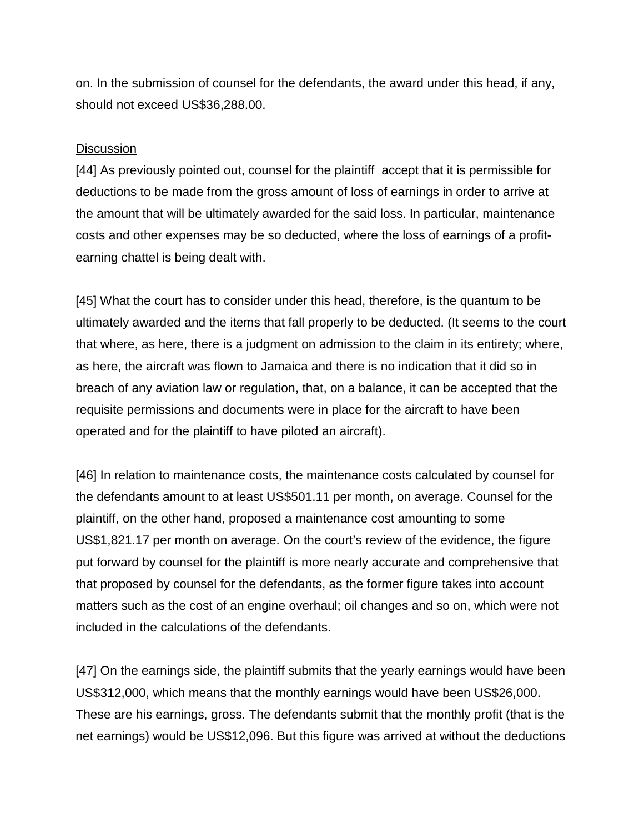on. In the submission of counsel for the defendants, the award under this head, if any, should not exceed US\$36,288.00.

### Discussion

[44] As previously pointed out, counsel for the plaintiff accept that it is permissible for deductions to be made from the gross amount of loss of earnings in order to arrive at the amount that will be ultimately awarded for the said loss. In particular, maintenance costs and other expenses may be so deducted, where the loss of earnings of a profitearning chattel is being dealt with.

[45] What the court has to consider under this head, therefore, is the quantum to be ultimately awarded and the items that fall properly to be deducted. (It seems to the court that where, as here, there is a judgment on admission to the claim in its entirety; where, as here, the aircraft was flown to Jamaica and there is no indication that it did so in breach of any aviation law or regulation, that, on a balance, it can be accepted that the requisite permissions and documents were in place for the aircraft to have been operated and for the plaintiff to have piloted an aircraft).

[46] In relation to maintenance costs, the maintenance costs calculated by counsel for the defendants amount to at least US\$501.11 per month, on average. Counsel for the plaintiff, on the other hand, proposed a maintenance cost amounting to some US\$1,821.17 per month on average. On the court's review of the evidence, the figure put forward by counsel for the plaintiff is more nearly accurate and comprehensive that that proposed by counsel for the defendants, as the former figure takes into account matters such as the cost of an engine overhaul; oil changes and so on, which were not included in the calculations of the defendants.

[47] On the earnings side, the plaintiff submits that the yearly earnings would have been US\$312,000, which means that the monthly earnings would have been US\$26,000. These are his earnings, gross. The defendants submit that the monthly profit (that is the net earnings) would be US\$12,096. But this figure was arrived at without the deductions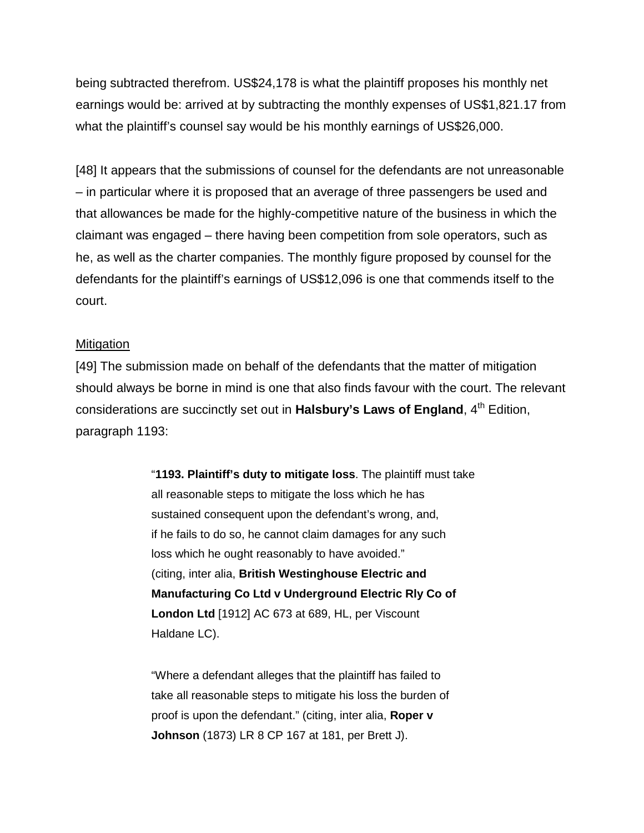being subtracted therefrom. US\$24,178 is what the plaintiff proposes his monthly net earnings would be: arrived at by subtracting the monthly expenses of US\$1,821.17 from what the plaintiff's counsel say would be his monthly earnings of US\$26,000.

[48] It appears that the submissions of counsel for the defendants are not unreasonable – in particular where it is proposed that an average of three passengers be used and that allowances be made for the highly-competitive nature of the business in which the claimant was engaged – there having been competition from sole operators, such as he, as well as the charter companies. The monthly figure proposed by counsel for the defendants for the plaintiff's earnings of US\$12,096 is one that commends itself to the court.

#### **Mitigation**

[49] The submission made on behalf of the defendants that the matter of mitigation should always be borne in mind is one that also finds favour with the court. The relevant considerations are succinctly set out in **Halsbury's Laws of England**, 4<sup>th</sup> Edition, paragraph 1193:

> "**1193. Plaintiff's duty to mitigate loss**. The plaintiff must take all reasonable steps to mitigate the loss which he has sustained consequent upon the defendant's wrong, and, if he fails to do so, he cannot claim damages for any such loss which he ought reasonably to have avoided." (citing, inter alia, **British Westinghouse Electric and Manufacturing Co Ltd v Underground Electric Rly Co of London Ltd** [1912] AC 673 at 689, HL, per Viscount Haldane LC).

"Where a defendant alleges that the plaintiff has failed to take all reasonable steps to mitigate his loss the burden of proof is upon the defendant." (citing, inter alia, **Roper v Johnson** (1873) LR 8 CP 167 at 181, per Brett J).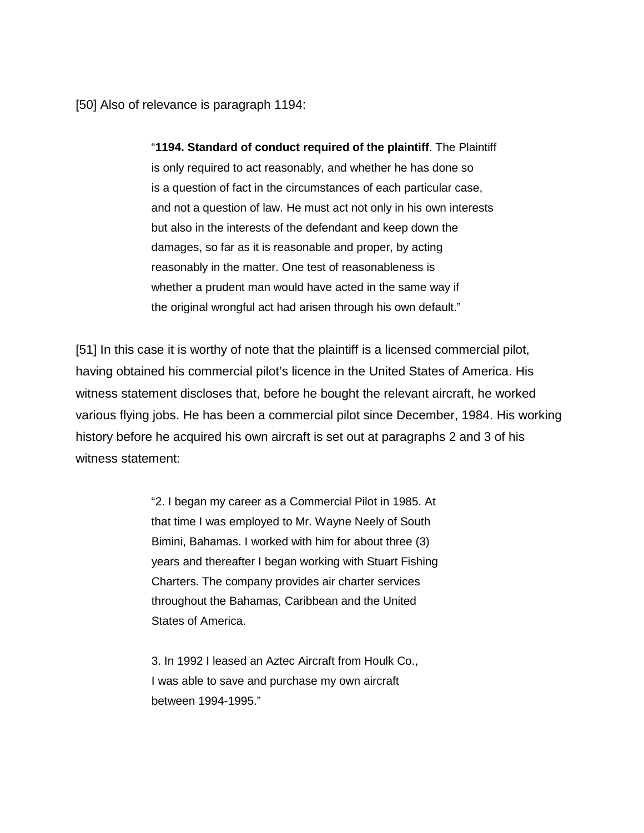[50] Also of relevance is paragraph 1194:

"**1194. Standard of conduct required of the plaintiff**. The Plaintiff is only required to act reasonably, and whether he has done so is a question of fact in the circumstances of each particular case, and not a question of law. He must act not only in his own interests but also in the interests of the defendant and keep down the damages, so far as it is reasonable and proper, by acting reasonably in the matter. One test of reasonableness is whether a prudent man would have acted in the same way if the original wrongful act had arisen through his own default."

[51] In this case it is worthy of note that the plaintiff is a licensed commercial pilot, having obtained his commercial pilot's licence in the United States of America. His witness statement discloses that, before he bought the relevant aircraft, he worked various flying jobs. He has been a commercial pilot since December, 1984. His working history before he acquired his own aircraft is set out at paragraphs 2 and 3 of his witness statement:

> "2. I began my career as a Commercial Pilot in 1985. At that time I was employed to Mr. Wayne Neely of South Bimini, Bahamas. I worked with him for about three (3) years and thereafter I began working with Stuart Fishing Charters. The company provides air charter services throughout the Bahamas, Caribbean and the United States of America.

3. In 1992 I leased an Aztec Aircraft from Houlk Co., I was able to save and purchase my own aircraft between 1994-1995."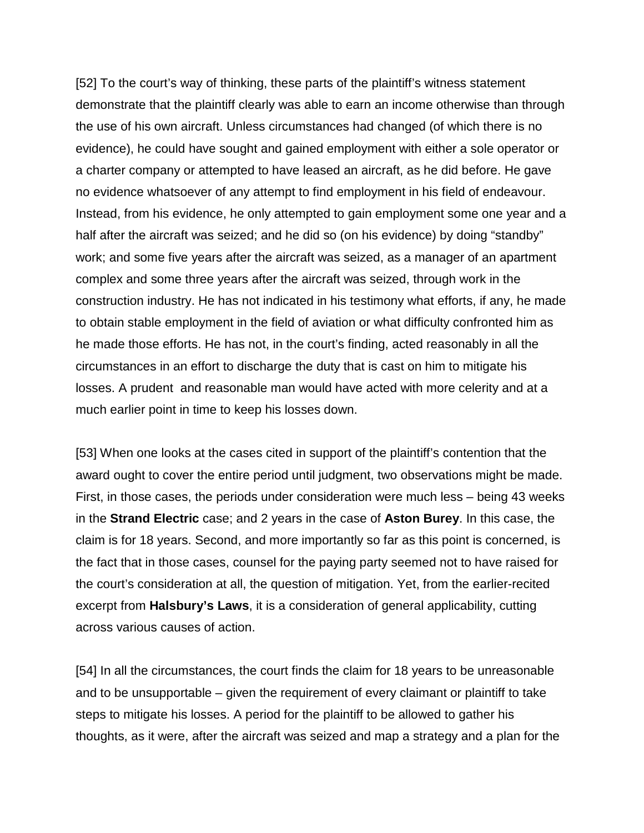[52] To the court's way of thinking, these parts of the plaintiff's witness statement demonstrate that the plaintiff clearly was able to earn an income otherwise than through the use of his own aircraft. Unless circumstances had changed (of which there is no evidence), he could have sought and gained employment with either a sole operator or a charter company or attempted to have leased an aircraft, as he did before. He gave no evidence whatsoever of any attempt to find employment in his field of endeavour. Instead, from his evidence, he only attempted to gain employment some one year and a half after the aircraft was seized; and he did so (on his evidence) by doing "standby" work; and some five years after the aircraft was seized, as a manager of an apartment complex and some three years after the aircraft was seized, through work in the construction industry. He has not indicated in his testimony what efforts, if any, he made to obtain stable employment in the field of aviation or what difficulty confronted him as he made those efforts. He has not, in the court's finding, acted reasonably in all the circumstances in an effort to discharge the duty that is cast on him to mitigate his losses. A prudent and reasonable man would have acted with more celerity and at a much earlier point in time to keep his losses down.

[53] When one looks at the cases cited in support of the plaintiff's contention that the award ought to cover the entire period until judgment, two observations might be made. First, in those cases, the periods under consideration were much less – being 43 weeks in the **Strand Electric** case; and 2 years in the case of **Aston Burey**. In this case, the claim is for 18 years. Second, and more importantly so far as this point is concerned, is the fact that in those cases, counsel for the paying party seemed not to have raised for the court's consideration at all, the question of mitigation. Yet, from the earlier-recited excerpt from **Halsbury's Laws**, it is a consideration of general applicability, cutting across various causes of action.

[54] In all the circumstances, the court finds the claim for 18 years to be unreasonable and to be unsupportable – given the requirement of every claimant or plaintiff to take steps to mitigate his losses. A period for the plaintiff to be allowed to gather his thoughts, as it were, after the aircraft was seized and map a strategy and a plan for the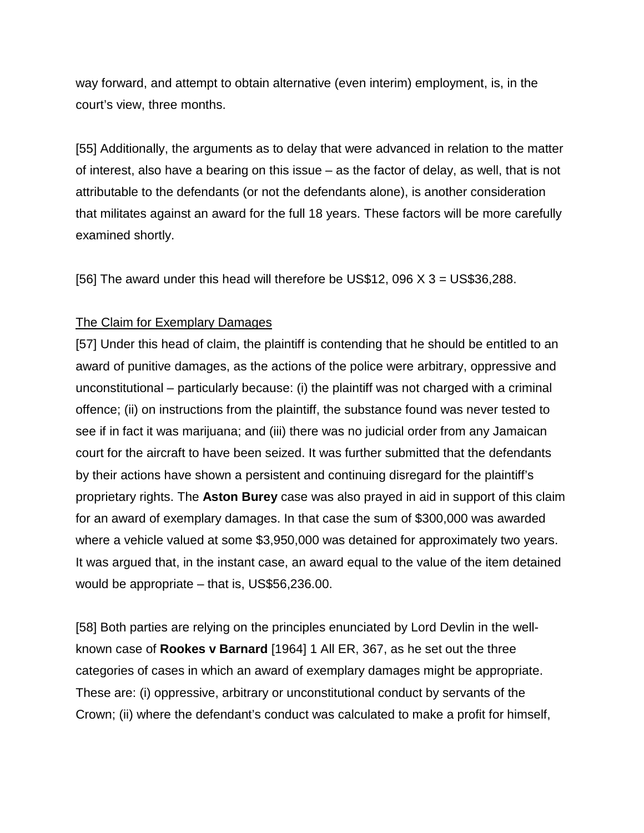way forward, and attempt to obtain alternative (even interim) employment, is, in the court's view, three months.

[55] Additionally, the arguments as to delay that were advanced in relation to the matter of interest, also have a bearing on this issue – as the factor of delay, as well, that is not attributable to the defendants (or not the defendants alone), is another consideration that militates against an award for the full 18 years. These factors will be more carefully examined shortly.

[56] The award under this head will therefore be US\$12, 096  $X$  3 = US\$36,288.

## The Claim for Exemplary Damages

[57] Under this head of claim, the plaintiff is contending that he should be entitled to an award of punitive damages, as the actions of the police were arbitrary, oppressive and unconstitutional – particularly because: (i) the plaintiff was not charged with a criminal offence; (ii) on instructions from the plaintiff, the substance found was never tested to see if in fact it was marijuana; and (iii) there was no judicial order from any Jamaican court for the aircraft to have been seized. It was further submitted that the defendants by their actions have shown a persistent and continuing disregard for the plaintiff's proprietary rights. The **Aston Burey** case was also prayed in aid in support of this claim for an award of exemplary damages. In that case the sum of \$300,000 was awarded where a vehicle valued at some \$3,950,000 was detained for approximately two years. It was argued that, in the instant case, an award equal to the value of the item detained would be appropriate – that is, US\$56,236.00.

[58] Both parties are relying on the principles enunciated by Lord Devlin in the wellknown case of **Rookes v Barnard** [1964] 1 All ER, 367, as he set out the three categories of cases in which an award of exemplary damages might be appropriate. These are: (i) oppressive, arbitrary or unconstitutional conduct by servants of the Crown; (ii) where the defendant's conduct was calculated to make a profit for himself,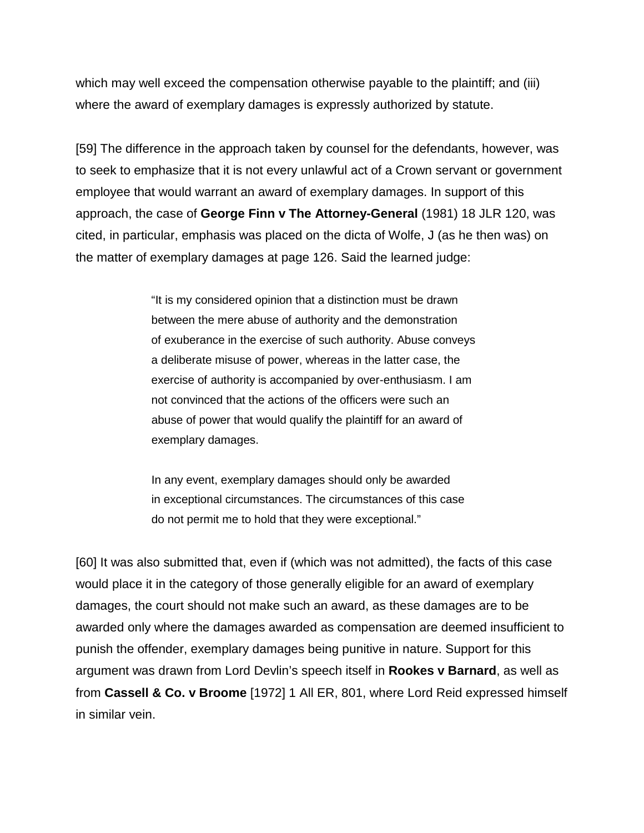which may well exceed the compensation otherwise payable to the plaintiff; and (iii) where the award of exemplary damages is expressly authorized by statute.

[59] The difference in the approach taken by counsel for the defendants, however, was to seek to emphasize that it is not every unlawful act of a Crown servant or government employee that would warrant an award of exemplary damages. In support of this approach, the case of **George Finn v The Attorney-General** (1981) 18 JLR 120, was cited, in particular, emphasis was placed on the dicta of Wolfe, J (as he then was) on the matter of exemplary damages at page 126. Said the learned judge:

> "It is my considered opinion that a distinction must be drawn between the mere abuse of authority and the demonstration of exuberance in the exercise of such authority. Abuse conveys a deliberate misuse of power, whereas in the latter case, the exercise of authority is accompanied by over-enthusiasm. I am not convinced that the actions of the officers were such an abuse of power that would qualify the plaintiff for an award of exemplary damages.

In any event, exemplary damages should only be awarded in exceptional circumstances. The circumstances of this case do not permit me to hold that they were exceptional."

[60] It was also submitted that, even if (which was not admitted), the facts of this case would place it in the category of those generally eligible for an award of exemplary damages, the court should not make such an award, as these damages are to be awarded only where the damages awarded as compensation are deemed insufficient to punish the offender, exemplary damages being punitive in nature. Support for this argument was drawn from Lord Devlin's speech itself in **Rookes v Barnard**, as well as from **Cassell & Co. v Broome** [1972] 1 All ER, 801, where Lord Reid expressed himself in similar vein.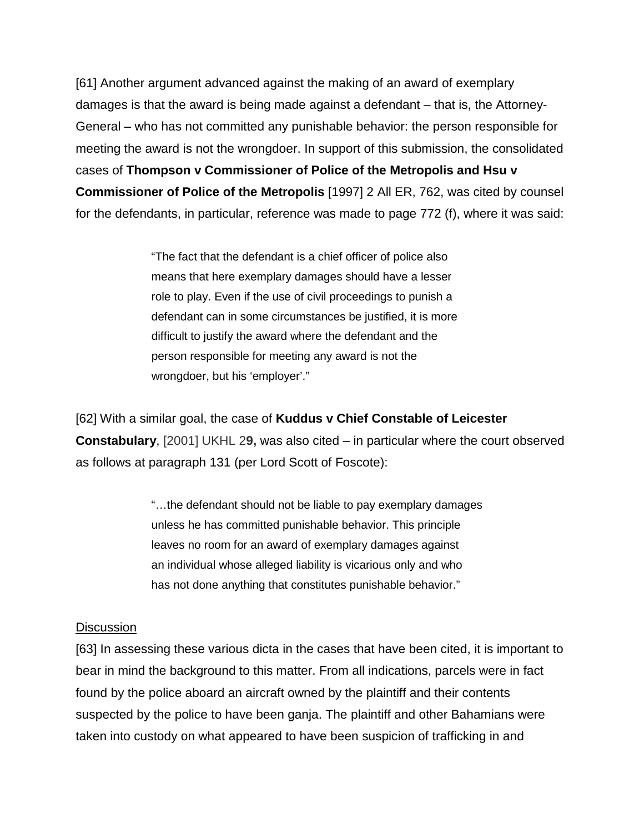[61] Another argument advanced against the making of an award of exemplary damages is that the award is being made against a defendant – that is, the Attorney-General – who has not committed any punishable behavior: the person responsible for meeting the award is not the wrongdoer. In support of this submission, the consolidated cases of **Thompson v Commissioner of Police of the Metropolis and Hsu v Commissioner of Police of the Metropolis** [1997] 2 All ER, 762, was cited by counsel for the defendants, in particular, reference was made to page 772 (f), where it was said:

> "The fact that the defendant is a chief officer of police also means that here exemplary damages should have a lesser role to play. Even if the use of civil proceedings to punish a defendant can in some circumstances be justified, it is more difficult to justify the award where the defendant and the person responsible for meeting any award is not the wrongdoer, but his 'employer'."

[62] With a similar goal, the case of **Kuddus v Chief Constable of Leicester Constabulary**, [2001] UKHL 2**9,** was also cited – in particular where the court observed as follows at paragraph 131 (per Lord Scott of Foscote):

> "…the defendant should not be liable to pay exemplary damages unless he has committed punishable behavior. This principle leaves no room for an award of exemplary damages against an individual whose alleged liability is vicarious only and who has not done anything that constitutes punishable behavior."

#### **Discussion**

[63] In assessing these various dicta in the cases that have been cited, it is important to bear in mind the background to this matter. From all indications, parcels were in fact found by the police aboard an aircraft owned by the plaintiff and their contents suspected by the police to have been ganja. The plaintiff and other Bahamians were taken into custody on what appeared to have been suspicion of trafficking in and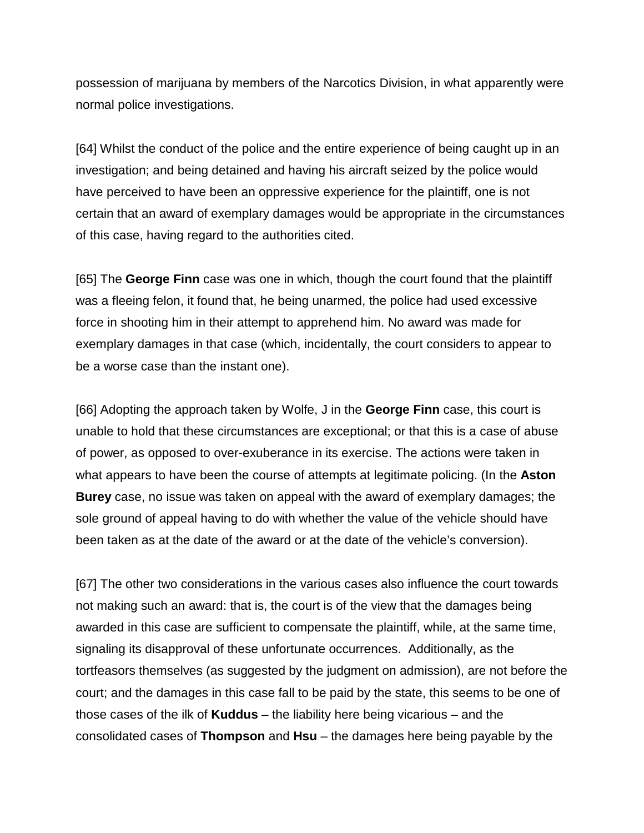possession of marijuana by members of the Narcotics Division, in what apparently were normal police investigations.

[64] Whilst the conduct of the police and the entire experience of being caught up in an investigation; and being detained and having his aircraft seized by the police would have perceived to have been an oppressive experience for the plaintiff, one is not certain that an award of exemplary damages would be appropriate in the circumstances of this case, having regard to the authorities cited.

[65] The **George Finn** case was one in which, though the court found that the plaintiff was a fleeing felon, it found that, he being unarmed, the police had used excessive force in shooting him in their attempt to apprehend him. No award was made for exemplary damages in that case (which, incidentally, the court considers to appear to be a worse case than the instant one).

[66] Adopting the approach taken by Wolfe, J in the **George Finn** case, this court is unable to hold that these circumstances are exceptional; or that this is a case of abuse of power, as opposed to over-exuberance in its exercise. The actions were taken in what appears to have been the course of attempts at legitimate policing. (In the **Aston Burey** case, no issue was taken on appeal with the award of exemplary damages; the sole ground of appeal having to do with whether the value of the vehicle should have been taken as at the date of the award or at the date of the vehicle's conversion).

[67] The other two considerations in the various cases also influence the court towards not making such an award: that is, the court is of the view that the damages being awarded in this case are sufficient to compensate the plaintiff, while, at the same time, signaling its disapproval of these unfortunate occurrences. Additionally, as the tortfeasors themselves (as suggested by the judgment on admission), are not before the court; and the damages in this case fall to be paid by the state, this seems to be one of those cases of the ilk of **Kuddus** – the liability here being vicarious – and the consolidated cases of **Thompson** and **Hsu** – the damages here being payable by the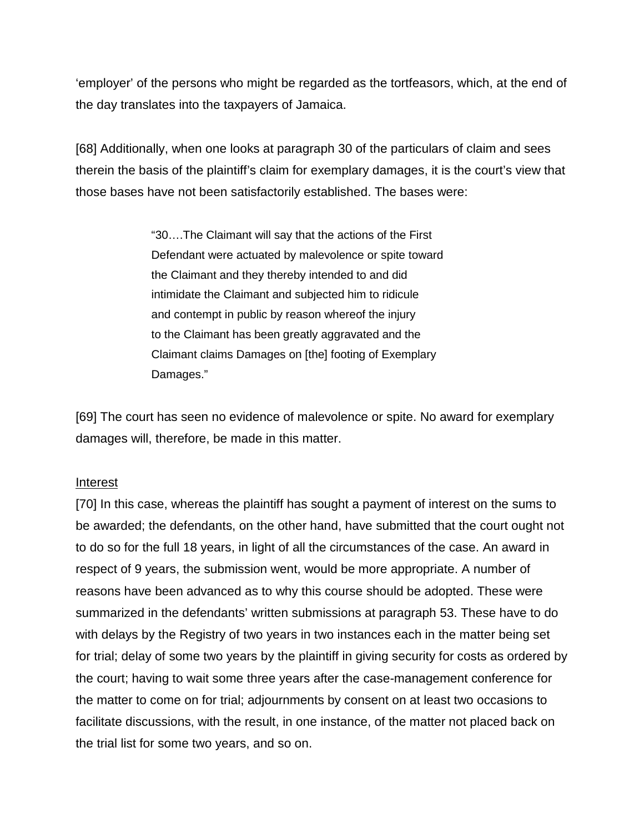'employer' of the persons who might be regarded as the tortfeasors, which, at the end of the day translates into the taxpayers of Jamaica.

[68] Additionally, when one looks at paragraph 30 of the particulars of claim and sees therein the basis of the plaintiff's claim for exemplary damages, it is the court's view that those bases have not been satisfactorily established. The bases were:

> "30….The Claimant will say that the actions of the First Defendant were actuated by malevolence or spite toward the Claimant and they thereby intended to and did intimidate the Claimant and subjected him to ridicule and contempt in public by reason whereof the injury to the Claimant has been greatly aggravated and the Claimant claims Damages on [the] footing of Exemplary Damages."

[69] The court has seen no evidence of malevolence or spite. No award for exemplary damages will, therefore, be made in this matter.

#### Interest

[70] In this case, whereas the plaintiff has sought a payment of interest on the sums to be awarded; the defendants, on the other hand, have submitted that the court ought not to do so for the full 18 years, in light of all the circumstances of the case. An award in respect of 9 years, the submission went, would be more appropriate. A number of reasons have been advanced as to why this course should be adopted. These were summarized in the defendants' written submissions at paragraph 53. These have to do with delays by the Registry of two years in two instances each in the matter being set for trial; delay of some two years by the plaintiff in giving security for costs as ordered by the court; having to wait some three years after the case-management conference for the matter to come on for trial; adjournments by consent on at least two occasions to facilitate discussions, with the result, in one instance, of the matter not placed back on the trial list for some two years, and so on.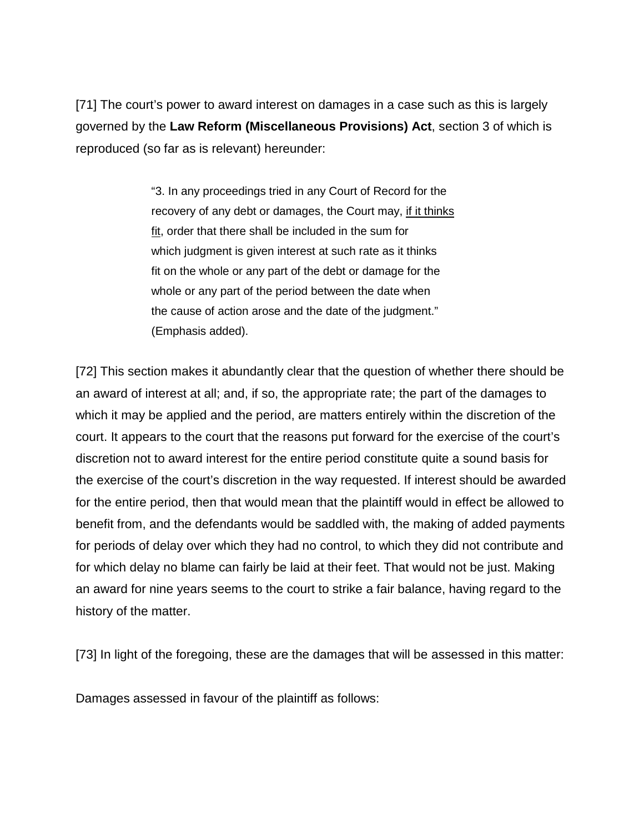[71] The court's power to award interest on damages in a case such as this is largely governed by the **Law Reform (Miscellaneous Provisions) Act**, section 3 of which is reproduced (so far as is relevant) hereunder:

> "3. In any proceedings tried in any Court of Record for the recovery of any debt or damages, the Court may, if it thinks fit, order that there shall be included in the sum for which judgment is given interest at such rate as it thinks fit on the whole or any part of the debt or damage for the whole or any part of the period between the date when the cause of action arose and the date of the judgment." (Emphasis added).

[72] This section makes it abundantly clear that the question of whether there should be an award of interest at all; and, if so, the appropriate rate; the part of the damages to which it may be applied and the period, are matters entirely within the discretion of the court. It appears to the court that the reasons put forward for the exercise of the court's discretion not to award interest for the entire period constitute quite a sound basis for the exercise of the court's discretion in the way requested. If interest should be awarded for the entire period, then that would mean that the plaintiff would in effect be allowed to benefit from, and the defendants would be saddled with, the making of added payments for periods of delay over which they had no control, to which they did not contribute and for which delay no blame can fairly be laid at their feet. That would not be just. Making an award for nine years seems to the court to strike a fair balance, having regard to the history of the matter.

[73] In light of the foregoing, these are the damages that will be assessed in this matter:

Damages assessed in favour of the plaintiff as follows: